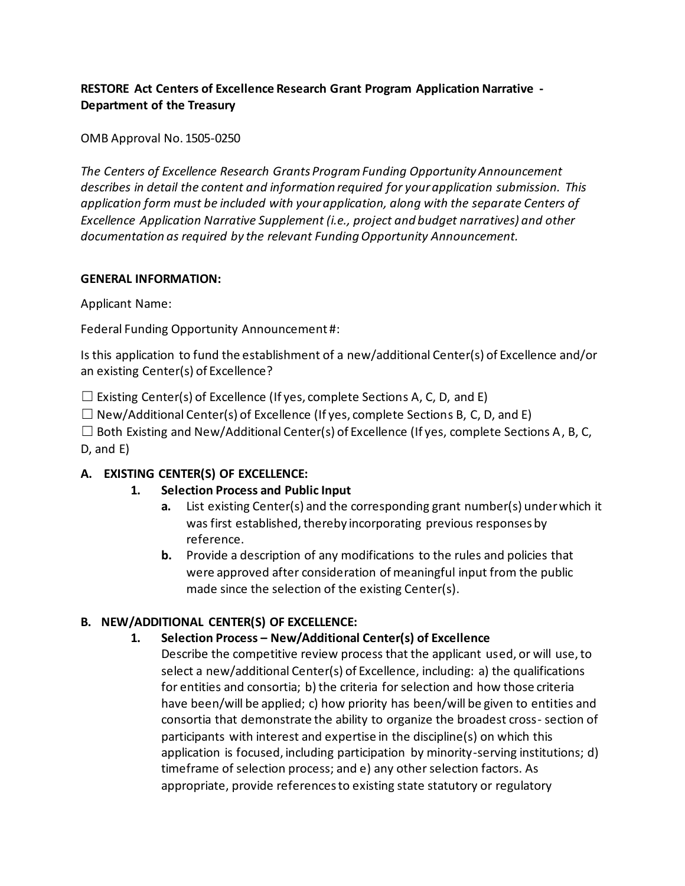## **RESTORE Act Centers of Excellence Research Grant Program Application Narrative - Department of the Treasury**

OMB Approval No. 1505-0250

*The Centers of Excellence Research Grants Program Funding Opportunity Announcement describes in detail the content and information required for your application submission. This application form must be included with your application, along with the separate Centers of Excellence Application Narrative Supplement (i.e., project and budget narratives) and other documentation as required by the relevant Funding Opportunity Announcement.* 

#### **GENERAL INFORMATION:**

Applicant Name:

Federal Funding Opportunity Announcement #:

Is this application to fund the establishment of a new/additional Center(s) of Excellence and/or an existing Center(s) of Excellence?

 $\Box$  Existing Center(s) of Excellence (If yes, complete Sections A, C, D, and E)

 $\Box$  New/Additional Center(s) of Excellence (If yes, complete Sections B, C, D, and E)

 $\Box$  Both Existing and New/Additional Center(s) of Excellence (If yes, complete Sections A, B, C, D, and E)

### **A. EXISTING CENTER(S) OF EXCELLENCE:**

### **1. Selection Process and Public Input**

- **a.** List existing Center(s) and the corresponding grant number(s) under which it was first established, thereby incorporating previous responses by reference.
- **b.** Provide a description of any modifications to the rules and policies that were approved after consideration of meaningful input from the public made since the selection of the existing Center(s).

## **B. NEW/ADDITIONAL CENTER(S) OF EXCELLENCE:**

### **1. Selection Process – New/Additional Center(s) of Excellence**

Describe the competitive review process that the applicant used, or will use, to select a new/additional Center(s) of Excellence, including: a) the qualifications for entities and consortia; b) the criteria for selection and how those criteria have been/will be applied; c) how priority has been/will be given to entities and consortia that demonstrate the ability to organize the broadest cross- section of participants with interest and expertise in the discipline(s) on which this application is focused, including participation by minority-serving institutions; d) timeframe of selection process; and e) any other selection factors. As appropriate, provide references to existing state statutory or regulatory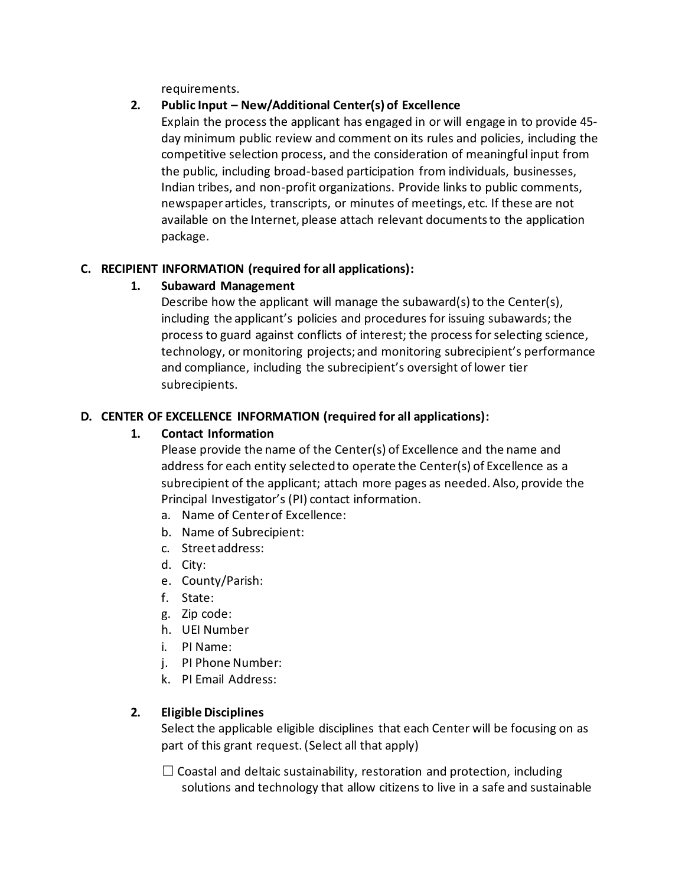requirements.

## **2. Public Input – New/Additional Center(s) of Excellence**

Explain the process the applicant has engaged in or will engage in to provide 45 day minimum public review and comment on its rules and policies, including the competitive selection process, and the consideration of meaningful input from the public, including broad-based participation from individuals, businesses, Indian tribes, and non-profit organizations. Provide links to public comments, newspaper articles, transcripts, or minutes of meetings, etc. If these are not available on the Internet, please attach relevant documents to the application package.

### **C. RECIPIENT INFORMATION (required for all applications):**

## **1. Subaward Management**

Describe how the applicant will manage the subaward(s) to the Center(s), including the applicant's policies and procedures for issuing subawards; the process to guard against conflicts of interest; the process for selecting science, technology, or monitoring projects; and monitoring subrecipient's performance and compliance, including the subrecipient's oversight of lower tier subrecipients.

## **D. CENTER OF EXCELLENCE INFORMATION (required for all applications):**

### **1. Contact Information**

Please provide the name of the Center(s) of Excellence and the name and address for each entity selected to operate the Center(s) of Excellence as a subrecipient of the applicant; attach more pages as needed. Also, provide the Principal Investigator's (PI) contact information.

- a. Name of Center of Excellence:
- b. Name of Subrecipient:
- c. Street address:
- d. City:
- e. County/Parish:
- f. State:
- g. Zip code:
- h. UEI Number
- i. PI Name:
- j. PI Phone Number:
- k. PI Email Address:

### **2. Eligible Disciplines**

Select the applicable eligible disciplines that each Center will be focusing on as part of this grant request. (Select all that apply)

 $\Box$  Coastal and deltaic sustainability, restoration and protection, including solutions and technology that allow citizens to live in a safe and sustainable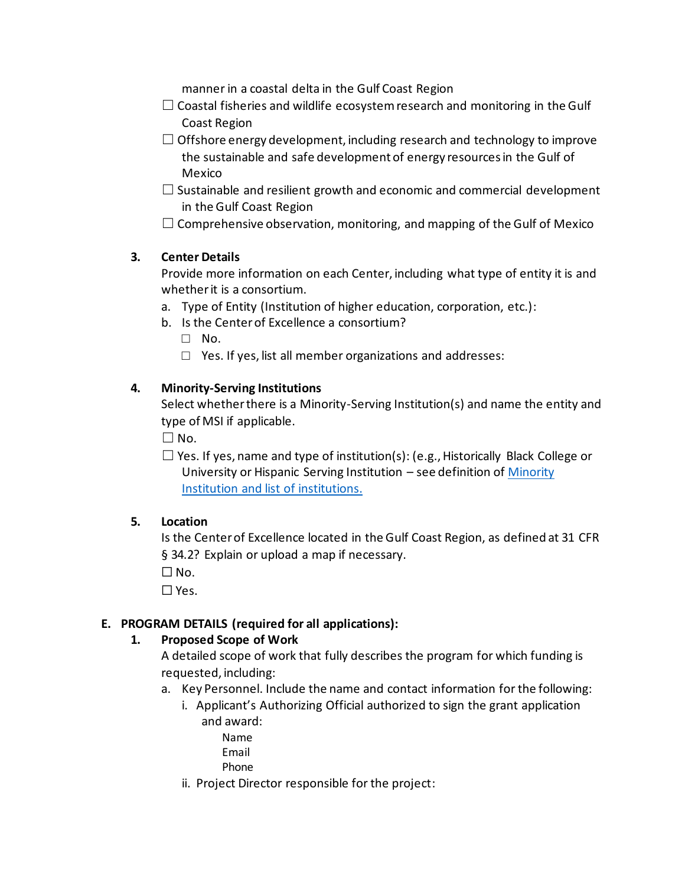manner in a coastal delta in the Gulf Coast Region

- $\Box$  Coastal fisheries and wildlife ecosystem research and monitoring in the Gulf Coast Region
- $\Box$  Offshore energy development, including research and technology to improve the sustainable and safe development of energy resources in the Gulf of Mexico
- $\Box$  Sustainable and resilient growth and economic and commercial development in the Gulf Coast Region
- $\Box$  Comprehensive observation, monitoring, and mapping of the Gulf of Mexico

## **3. Center Details**

Provide more information on each Center, including what type of entity it is and whether it is a consortium.

- a. Type of Entity (Institution of higher education, corporation, etc.):
- b. Is the Center of Excellence a consortium?
	- □ No.
	- $\Box$  Yes. If yes, list all member organizations and addresses:

### **4. Minority-Serving Institutions**

Select whether there is a Minority-Serving Institution(s) and name the entity and type of MSI if applicable.

 $\square$  No.

 $\Box$  Yes. If yes, name and type of institution(s): (e.g., Historically Black College or University or Hispanic Serving Institution – see definition o[f Minority](http://www2.ed.gov/about/offices/list/ocr/edlite-minorityinst.html)  [Institution and list of](http://www2.ed.gov/about/offices/list/ocr/edlite-minorityinst.html) institutions.

### **5. Location**

Is the Center of Excellence located in the Gulf Coast Region, as defined at 31 CFR § 34.2? Explain or upload a map if necessary.

 $\square$  No.

 $\Box$  Yes.

### **E. PROGRAM DETAILS (required for all applications):**

### **1. Proposed Scope of Work**

A detailed scope of work that fully describes the program for which funding is requested, including:

- a. Key Personnel. Include the name and contact information for the following:
	- i. Applicant's Authorizing Official authorized to sign the grant application and award:
		- Name Email
		- Phone
	- ii. Project Director responsible for the project: